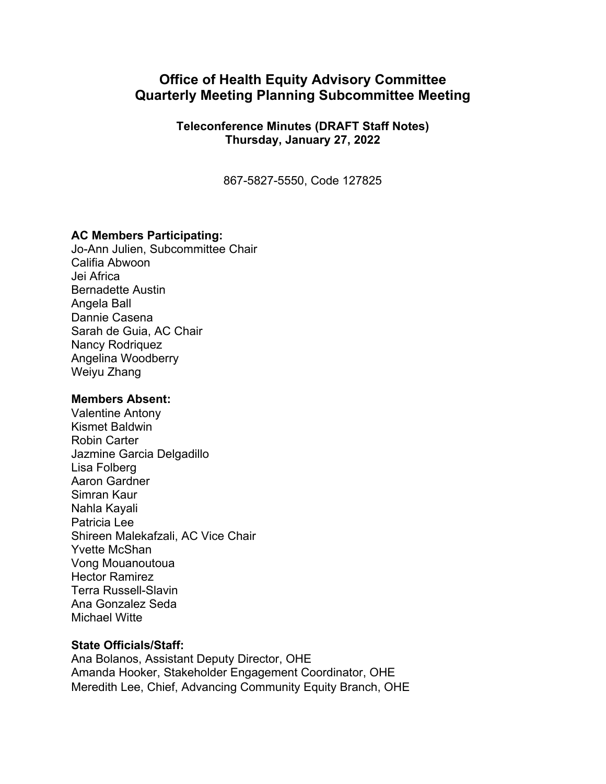# **Office of Health Equity Advisory Committee Quarterly Meeting Planning Subcommittee Meeting**

**Teleconference Minutes (DRAFT Staff Notes) Thursday, January 27, 2022** 

867-5827-5550, Code 127825

### **AC Members Participating:**

Jo-Ann Julien, Subcommittee Chair Califia Abwoon Jei Africa Bernadette Austin Angela Ball Dannie Casena Sarah de Guia, AC Chair Nancy Rodriquez Angelina Woodberry Weiyu Zhang

### **Members Absent:**

Valentine Antony Kismet Baldwin Robin Carter Jazmine Garcia Delgadillo Lisa Folberg Aaron Gardner Simran Kaur Nahla Kayali Patricia Lee Shireen Malekafzali, AC Vice Chair Yvette McShan Vong Mouanoutoua Hector Ramirez Terra Russell-Slavin Ana Gonzalez Seda Michael Witte

### **State Officials/Staff:**

Ana Bolanos, Assistant Deputy Director, OHE Amanda Hooker, Stakeholder Engagement Coordinator, OHE Meredith Lee, Chief, Advancing Community Equity Branch, OHE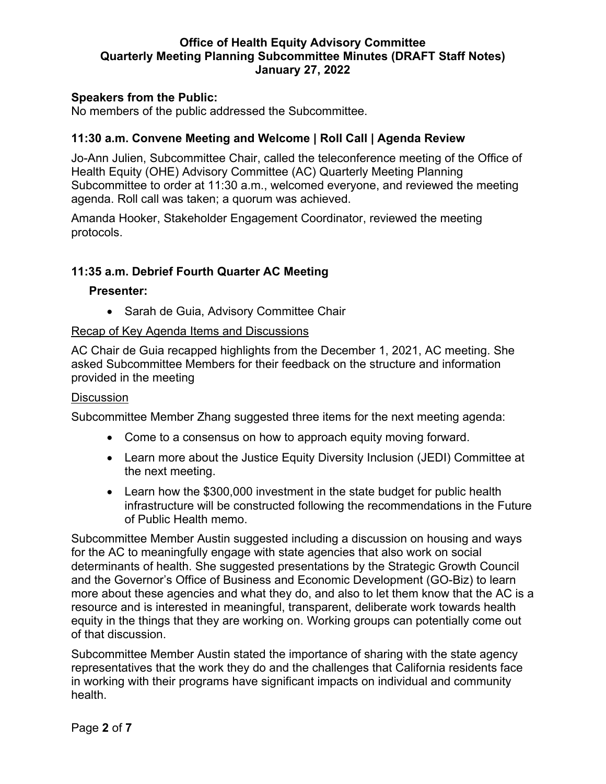### **Speakers from the Public:**

No members of the public addressed the Subcommittee.

# **11:30 a.m. Convene Meeting and Welcome | Roll Call | Agenda Review**

Jo-Ann Julien, Subcommittee Chair, called the teleconference meeting of the Office of Health Equity (OHE) Advisory Committee (AC) Quarterly Meeting Planning Subcommittee to order at 11:30 a.m., welcomed everyone, and reviewed the meeting agenda. Roll call was taken; a quorum was achieved.

Amanda Hooker, Stakeholder Engagement Coordinator, reviewed the meeting protocols.

# **11:35 a.m. Debrief Fourth Quarter AC Meeting**

### **Presenter:**

• Sarah de Guia, Advisory Committee Chair

### Recap of Key Agenda Items and Discussions

AC Chair de Guia recapped highlights from the December 1, 2021, AC meeting. She asked Subcommittee Members for their feedback on the structure and information provided in the meeting

### **Discussion**

Subcommittee Member Zhang suggested three items for the next meeting agenda:

- Come to a consensus on how to approach equity moving forward.
- Learn more about the Justice Equity Diversity Inclusion (JEDI) Committee at the next meeting.
- Learn how the \$300,000 investment in the state budget for public health infrastructure will be constructed following the recommendations in the Future of Public Health memo.

Subcommittee Member Austin suggested including a discussion on housing and ways for the AC to meaningfully engage with state agencies that also work on social determinants of health. She suggested presentations by the Strategic Growth Council and the Governor's Office of Business and Economic Development (GO-Biz) to learn more about these agencies and what they do, and also to let them know that the AC is a resource and is interested in meaningful, transparent, deliberate work towards health equity in the things that they are working on. Working groups can potentially come out of that discussion.

Subcommittee Member Austin stated the importance of sharing with the state agency representatives that the work they do and the challenges that California residents face in working with their programs have significant impacts on individual and community health.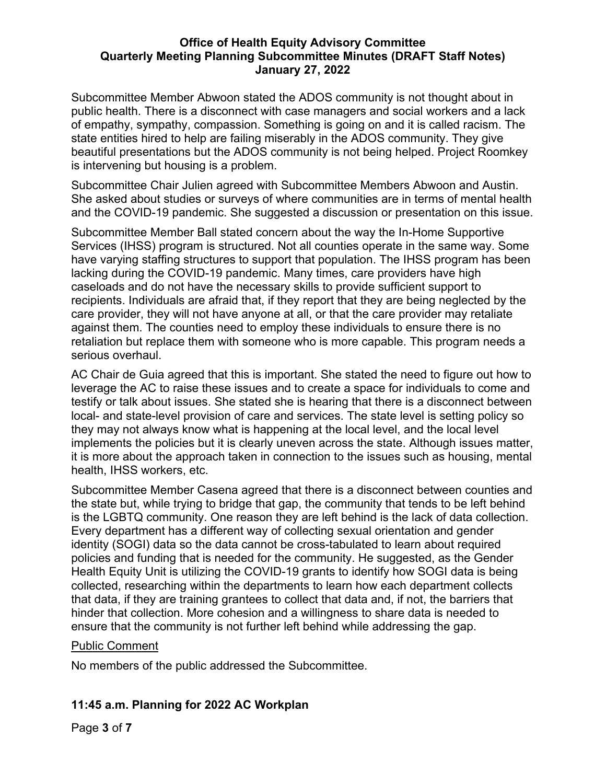Subcommittee Member Abwoon stated the ADOS community is not thought about in public health. There is a disconnect with case managers and social workers and a lack of empathy, sympathy, compassion. Something is going on and it is called racism. The state entities hired to help are failing miserably in the ADOS community. They give beautiful presentations but the ADOS community is not being helped. Project Roomkey is intervening but housing is a problem.

Subcommittee Chair Julien agreed with Subcommittee Members Abwoon and Austin. She asked about studies or surveys of where communities are in terms of mental health and the COVID-19 pandemic. She suggested a discussion or presentation on this issue.

Subcommittee Member Ball stated concern about the way the In-Home Supportive Services (IHSS) program is structured. Not all counties operate in the same way. Some have varying staffing structures to support that population. The IHSS program has been lacking during the COVID-19 pandemic. Many times, care providers have high caseloads and do not have the necessary skills to provide sufficient support to recipients. Individuals are afraid that, if they report that they are being neglected by the care provider, they will not have anyone at all, or that the care provider may retaliate against them. The counties need to employ these individuals to ensure there is no retaliation but replace them with someone who is more capable. This program needs a serious overhaul.

AC Chair de Guia agreed that this is important. She stated the need to figure out how to leverage the AC to raise these issues and to create a space for individuals to come and testify or talk about issues. She stated she is hearing that there is a disconnect between local- and state-level provision of care and services. The state level is setting policy so they may not always know what is happening at the local level, and the local level implements the policies but it is clearly uneven across the state. Although issues matter, it is more about the approach taken in connection to the issues such as housing, mental health, IHSS workers, etc.

Subcommittee Member Casena agreed that there is a disconnect between counties and the state but, while trying to bridge that gap, the community that tends to be left behind is the LGBTQ community. One reason they are left behind is the lack of data collection. Every department has a different way of collecting sexual orientation and gender identity (SOGI) data so the data cannot be cross-tabulated to learn about required policies and funding that is needed for the community. He suggested, as the Gender Health Equity Unit is utilizing the COVID-19 grants to identify how SOGI data is being collected, researching within the departments to learn how each department collects that data, if they are training grantees to collect that data and, if not, the barriers that hinder that collection. More cohesion and a willingness to share data is needed to ensure that the community is not further left behind while addressing the gap.

# Public Comment

No members of the public addressed the Subcommittee.

# **11:45 a.m. Planning for 2022 AC Workplan**

Page **3** of **7**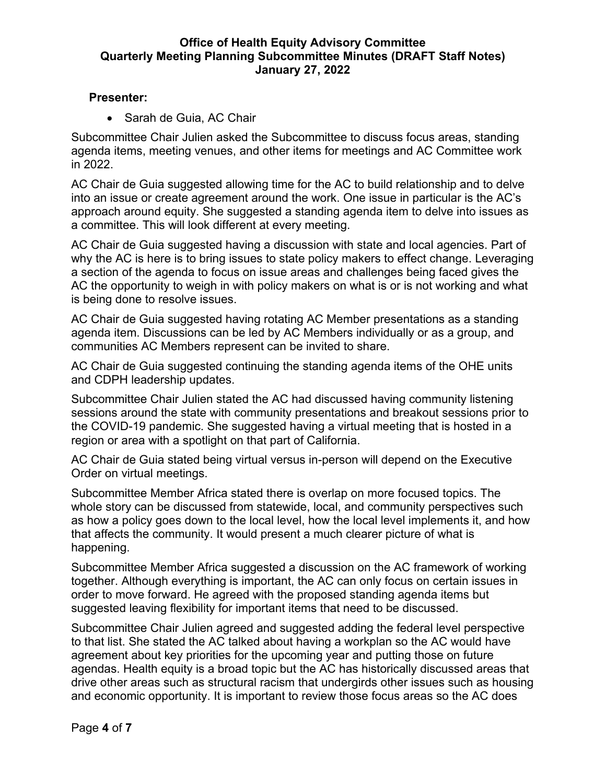# **Presenter:**

• Sarah de Guia, AC Chair

Subcommittee Chair Julien asked the Subcommittee to discuss focus areas, standing agenda items, meeting venues, and other items for meetings and AC Committee work in 2022.

AC Chair de Guia suggested allowing time for the AC to build relationship and to delve into an issue or create agreement around the work. One issue in particular is the AC's approach around equity. She suggested a standing agenda item to delve into issues as a committee. This will look different at every meeting.

AC Chair de Guia suggested having a discussion with state and local agencies. Part of why the AC is here is to bring issues to state policy makers to effect change. Leveraging a section of the agenda to focus on issue areas and challenges being faced gives the AC the opportunity to weigh in with policy makers on what is or is not working and what is being done to resolve issues.

AC Chair de Guia suggested having rotating AC Member presentations as a standing agenda item. Discussions can be led by AC Members individually or as a group, and communities AC Members represent can be invited to share.

AC Chair de Guia suggested continuing the standing agenda items of the OHE units and CDPH leadership updates.

Subcommittee Chair Julien stated the AC had discussed having community listening sessions around the state with community presentations and breakout sessions prior to the COVID-19 pandemic. She suggested having a virtual meeting that is hosted in a region or area with a spotlight on that part of California.

AC Chair de Guia stated being virtual versus in-person will depend on the Executive Order on virtual meetings.

Subcommittee Member Africa stated there is overlap on more focused topics. The whole story can be discussed from statewide, local, and community perspectives such as how a policy goes down to the local level, how the local level implements it, and how that affects the community. It would present a much clearer picture of what is happening.

Subcommittee Member Africa suggested a discussion on the AC framework of working together. Although everything is important, the AC can only focus on certain issues in order to move forward. He agreed with the proposed standing agenda items but suggested leaving flexibility for important items that need to be discussed.

Subcommittee Chair Julien agreed and suggested adding the federal level perspective to that list. She stated the AC talked about having a workplan so the AC would have agreement about key priorities for the upcoming year and putting those on future agendas. Health equity is a broad topic but the AC has historically discussed areas that drive other areas such as structural racism that undergirds other issues such as housing and economic opportunity. It is important to review those focus areas so the AC does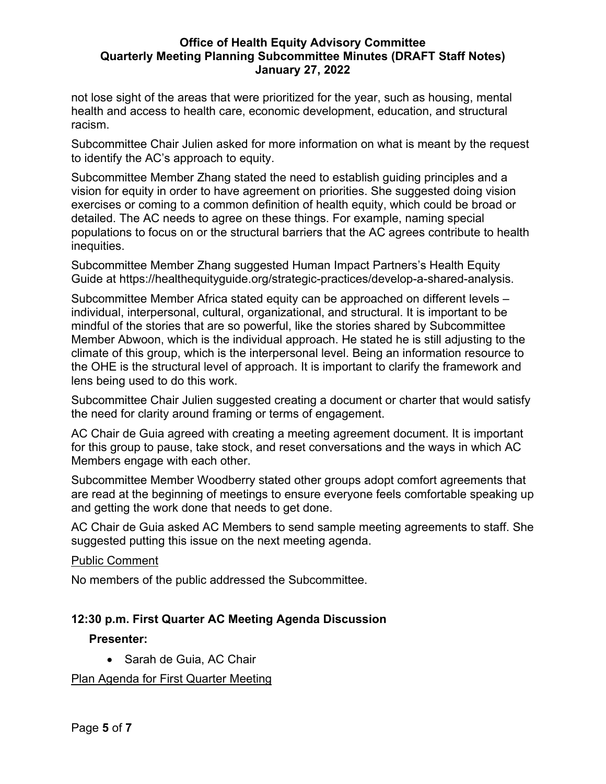not lose sight of the areas that were prioritized for the year, such as housing, mental health and access to health care, economic development, education, and structural racism.

Subcommittee Chair Julien asked for more information on what is meant by the request to identify the AC's approach to equity.

Subcommittee Member Zhang stated the need to establish guiding principles and a vision for equity in order to have agreement on priorities. She suggested doing vision exercises or coming to a common definition of health equity, which could be broad or detailed. The AC needs to agree on these things. For example, naming special populations to focus on or the structural barriers that the AC agrees contribute to health inequities.

Subcommittee Member Zhang suggested Human Impact Partners's Health Equity Guide at https://healthequityguide.org/strategic-practices/develop-a-shared-analysis.

Subcommittee Member Africa stated equity can be approached on different levels – individual, interpersonal, cultural, organizational, and structural. It is important to be mindful of the stories that are so powerful, like the stories shared by Subcommittee Member Abwoon, which is the individual approach. He stated he is still adjusting to the climate of this group, which is the interpersonal level. Being an information resource to the OHE is the structural level of approach. It is important to clarify the framework and lens being used to do this work.

Subcommittee Chair Julien suggested creating a document or charter that would satisfy the need for clarity around framing or terms of engagement.

AC Chair de Guia agreed with creating a meeting agreement document. It is important for this group to pause, take stock, and reset conversations and the ways in which AC Members engage with each other.

Subcommittee Member Woodberry stated other groups adopt comfort agreements that are read at the beginning of meetings to ensure everyone feels comfortable speaking up and getting the work done that needs to get done.

AC Chair de Guia asked AC Members to send sample meeting agreements to staff. She suggested putting this issue on the next meeting agenda.

# Public Comment

No members of the public addressed the Subcommittee.

# **12:30 p.m. First Quarter AC Meeting Agenda Discussion**

# **Presenter:**

• Sarah de Guia, AC Chair

Plan Agenda for First Quarter Meeting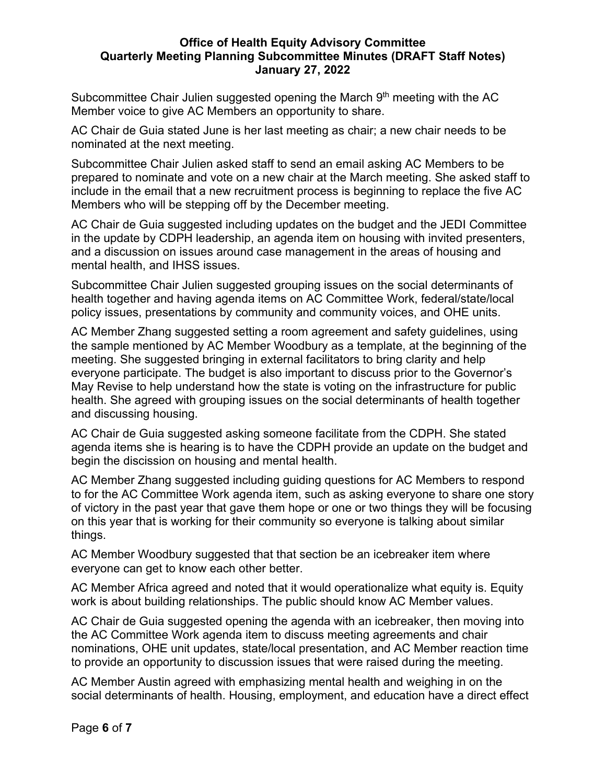Subcommittee Chair Julien suggested opening the March 9<sup>th</sup> meeting with the AC Member voice to give AC Members an opportunity to share.

AC Chair de Guia stated June is her last meeting as chair; a new chair needs to be nominated at the next meeting.

Subcommittee Chair Julien asked staff to send an email asking AC Members to be prepared to nominate and vote on a new chair at the March meeting. She asked staff to include in the email that a new recruitment process is beginning to replace the five AC Members who will be stepping off by the December meeting.

AC Chair de Guia suggested including updates on the budget and the JEDI Committee in the update by CDPH leadership, an agenda item on housing with invited presenters, and a discussion on issues around case management in the areas of housing and mental health, and IHSS issues.

Subcommittee Chair Julien suggested grouping issues on the social determinants of health together and having agenda items on AC Committee Work, federal/state/local policy issues, presentations by community and community voices, and OHE units.

AC Member Zhang suggested setting a room agreement and safety guidelines, using the sample mentioned by AC Member Woodbury as a template, at the beginning of the meeting. She suggested bringing in external facilitators to bring clarity and help everyone participate. The budget is also important to discuss prior to the Governor's May Revise to help understand how the state is voting on the infrastructure for public health. She agreed with grouping issues on the social determinants of health together and discussing housing.

AC Chair de Guia suggested asking someone facilitate from the CDPH. She stated agenda items she is hearing is to have the CDPH provide an update on the budget and begin the discission on housing and mental health.

AC Member Zhang suggested including guiding questions for AC Members to respond to for the AC Committee Work agenda item, such as asking everyone to share one story of victory in the past year that gave them hope or one or two things they will be focusing on this year that is working for their community so everyone is talking about similar things.

AC Member Woodbury suggested that that section be an icebreaker item where everyone can get to know each other better.

AC Member Africa agreed and noted that it would operationalize what equity is. Equity work is about building relationships. The public should know AC Member values.

AC Chair de Guia suggested opening the agenda with an icebreaker, then moving into the AC Committee Work agenda item to discuss meeting agreements and chair nominations, OHE unit updates, state/local presentation, and AC Member reaction time to provide an opportunity to discussion issues that were raised during the meeting.

AC Member Austin agreed with emphasizing mental health and weighing in on the social determinants of health. Housing, employment, and education have a direct effect